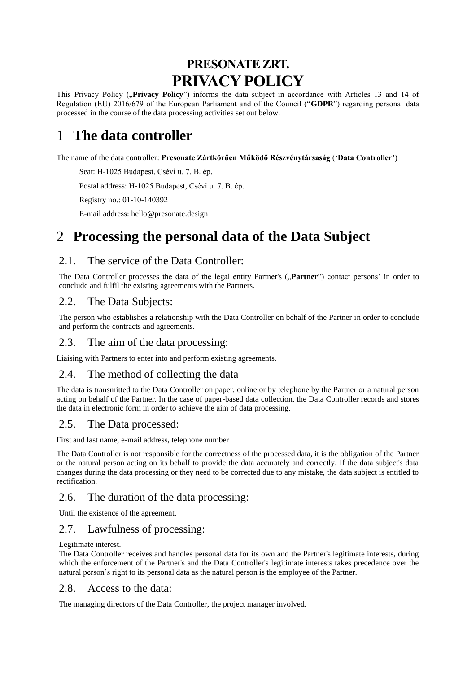# **PRESONATEZRT. PRIVACY POLICY**

This Privacy Policy ("Privacy Policy") informs the data subject in accordance with Articles 13 and 14 of Regulation (EU) 2016/679 of the European Parliament and of the Council ("**GDPR**") regarding personal data processed in the course of the data processing activities set out below.

# 1 **The data controller**

The name of the data controller: **Presonate Zártkörűen Működő Részvénytársaság** ('**Data Controller'**)

Seat: H-1025 Budapest, Csévi u. 7. B. ép.

Postal address: H-1025 Budapest, Csévi u. 7. B. ép.

Registry no.: 01-10-140392

E-mail address: hello@presonate.design

# 2 **Processing the personal data of the Data Subject**

# 2.1. The service of the Data Controller:

The Data Controller processes the data of the legal entity Partner's ("Partner") contact persons' in order to conclude and fulfil the existing agreements with the Partners.

### 2.2. The Data Subjects:

The person who establishes a relationship with the Data Controller on behalf of the Partner in order to conclude and perform the contracts and agreements.

# 2.3. The aim of the data processing:

Liaising with Partners to enter into and perform existing agreements.

# 2.4. The method of collecting the data

The data is transmitted to the Data Controller on paper, online or by telephone by the Partner or a natural person acting on behalf of the Partner. In the case of paper-based data collection, the Data Controller records and stores the data in electronic form in order to achieve the aim of data processing.

#### 2.5. The Data processed:

First and last name, e-mail address, telephone number

The Data Controller is not responsible for the correctness of the processed data, it is the obligation of the Partner or the natural person acting on its behalf to provide the data accurately and correctly. If the data subject's data changes during the data processing or they need to be corrected due to any mistake, the data subject is entitled to rectification.

# 2.6. The duration of the data processing:

Until the existence of the agreement.

# 2.7. Lawfulness of processing:

Legitimate interest.

The Data Controller receives and handles personal data for its own and the Partner's legitimate interests, during which the enforcement of the Partner's and the Data Controller's legitimate interests takes precedence over the natural person's right to its personal data as the natural person is the employee of the Partner.

#### 2.8. Access to the data:

The managing directors of the Data Controller, the project manager involved.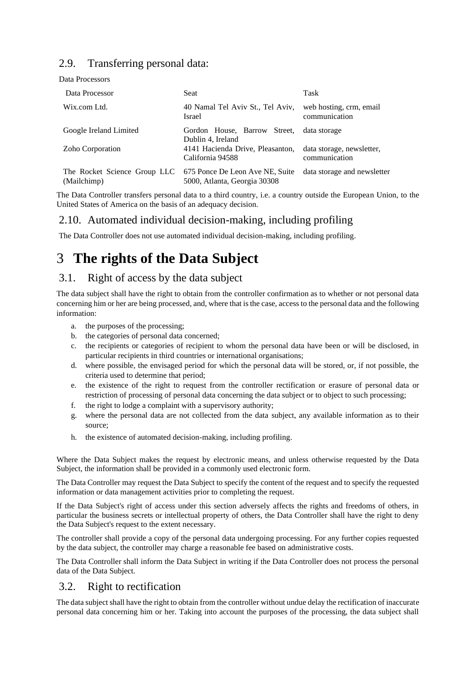# 2.9. Transferring personal data:

Data Processors

| Data Processor                              | Seat                                                            | Task                                       |
|---------------------------------------------|-----------------------------------------------------------------|--------------------------------------------|
| Wix.com Ltd.                                | 40 Namal Tel Aviv St., Tel Aviv,<br>Israel                      | web hosting, crm, email<br>communication   |
| Google Ireland Limited                      | Gordon House, Barrow Street,<br>Dublin 4, Ireland               | data storage                               |
| <b>Zoho Corporation</b>                     | 4141 Hacienda Drive, Pleasanton,<br>California 94588            | data storage, newsletter,<br>communication |
| The Rocket Science Group LLC<br>(Mailchimp) | 675 Ponce De Leon Ave NE, Suite<br>5000, Atlanta, Georgia 30308 | data storage and newsletter                |

The Data Controller transfers personal data to a third country, i.e. a country outside the European Union, to the United States of America on the basis of an adequacy decision.

# 2.10. Automated individual decision-making, including profiling

The Data Controller does not use automated individual decision-making, including profiling.

# 3 **The rights of the Data Subject**

### 3.1. Right of access by the data subject

The data subject shall have the right to obtain from the controller confirmation as to whether or not personal data concerning him or her are being processed, and, where that is the case, access to the personal data and the following information:

- a. the purposes of the processing;
- b. the categories of personal data concerned;
- c. the recipients or categories of recipient to whom the personal data have been or will be disclosed, in particular recipients in third countries or international organisations;
- d. where possible, the envisaged period for which the personal data will be stored, or, if not possible, the criteria used to determine that period;
- e. the existence of the right to request from the controller rectification or erasure of personal data or restriction of processing of personal data concerning the data subject or to object to such processing;
- f. the right to lodge a complaint with a supervisory authority;
- g. where the personal data are not collected from the data subject, any available information as to their source;
- h. the existence of automated decision-making, including profiling.

Where the Data Subject makes the request by electronic means, and unless otherwise requested by the Data Subject, the information shall be provided in a commonly used electronic form.

The Data Controller may request the Data Subject to specify the content of the request and to specify the requested information or data management activities prior to completing the request.

If the Data Subject's right of access under this section adversely affects the rights and freedoms of others, in particular the business secrets or intellectual property of others, the Data Controller shall have the right to deny the Data Subject's request to the extent necessary.

The controller shall provide a copy of the personal data undergoing processing. For any further copies requested by the data subject, the controller may charge a reasonable fee based on administrative costs.

The Data Controller shall inform the Data Subject in writing if the Data Controller does not process the personal data of the Data Subject.

#### 3.2. Right to rectification

The data subject shall have the right to obtain from the controller without undue delay the rectification of inaccurate personal data concerning him or her. Taking into account the purposes of the processing, the data subject shall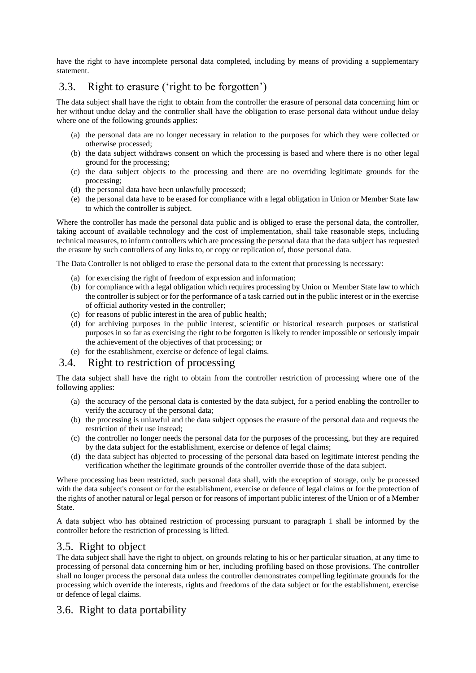have the right to have incomplete personal data completed, including by means of providing a supplementary statement.

# 3.3. Right to erasure ('right to be forgotten')

The data subject shall have the right to obtain from the controller the erasure of personal data concerning him or her without undue delay and the controller shall have the obligation to erase personal data without undue delay where one of the following grounds applies:

- (a) the personal data are no longer necessary in relation to the purposes for which they were collected or otherwise processed;
- (b) the data subject withdraws consent on which the processing is based and where there is no other legal ground for the processing;
- (c) the data subject objects to the processing and there are no overriding legitimate grounds for the processing;
- (d) the personal data have been unlawfully processed;
- (e) the personal data have to be erased for compliance with a legal obligation in Union or Member State law to which the controller is subject.

Where the controller has made the personal data public and is obliged to erase the personal data, the controller, taking account of available technology and the cost of implementation, shall take reasonable steps, including technical measures, to inform controllers which are processing the personal data that the data subject has requested the erasure by such controllers of any links to, or copy or replication of, those personal data.

The Data Controller is not obliged to erase the personal data to the extent that processing is necessary:

- (a) for exercising the right of freedom of expression and information;
- (b) for compliance with a legal obligation which requires processing by Union or Member State law to which the controller is subject or for the performance of a task carried out in the public interest or in the exercise of official authority vested in the controller;
- (c) for reasons of public interest in the area of public health;
- (d) for archiving purposes in the public interest, scientific or historical research purposes or statistical purposes in so far as exercising the right to be forgotten is likely to render impossible or seriously impair the achievement of the objectives of that processing; or
- (e) for the establishment, exercise or defence of legal claims.

#### 3.4. Right to restriction of processing

The data subject shall have the right to obtain from the controller restriction of processing where one of the following applies:

- (a) the accuracy of the personal data is contested by the data subject, for a period enabling the controller to verify the accuracy of the personal data;
- (b) the processing is unlawful and the data subject opposes the erasure of the personal data and requests the restriction of their use instead;
- (c) the controller no longer needs the personal data for the purposes of the processing, but they are required by the data subject for the establishment, exercise or defence of legal claims;
- (d) the data subject has objected to processing of the personal data based on legitimate interest pending the verification whether the legitimate grounds of the controller override those of the data subject.

Where processing has been restricted, such personal data shall, with the exception of storage, only be processed with the data subject's consent or for the establishment, exercise or defence of legal claims or for the protection of the rights of another natural or legal person or for reasons of important public interest of the Union or of a Member State.

A data subject who has obtained restriction of processing pursuant to paragraph 1 shall be informed by the controller before the restriction of processing is lifted.

#### 3.5. Right to object

The data subject shall have the right to object, on grounds relating to his or her particular situation, at any time to processing of personal data concerning him or her, including profiling based on those provisions. The controller shall no longer process the personal data unless the controller demonstrates compelling legitimate grounds for the processing which override the interests, rights and freedoms of the data subject or for the establishment, exercise or defence of legal claims.

# 3.6. Right to data portability